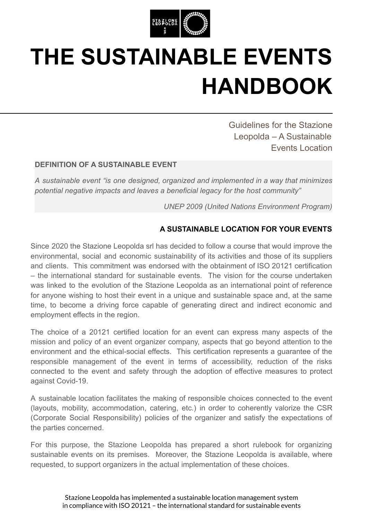

## **THE SUSTAINABLE EVENTS HANDBOOK**

Guidelines for the Stazione Leopolda – A Sustainable Events Location

## **DEFINITION OF A SUSTAINABLE EVENT**

*A sustainable event "is one designed, organized and implemented in a way that minimizes potential negative impacts and leaves a beneficial legacy for the host community"*

*UNEP 2009 (United Nations Environment Program)*

## **A SUSTAINABLE LOCATION FOR YOUR EVENTS**

Since 2020 the Stazione Leopolda srl has decided to follow a course that would improve the environmental, social and economic sustainability of its activities and those of its suppliers and clients. This commitment was endorsed with the obtainment of ISO 20121 certification – the international standard for sustainable events. The vision for the course undertaken was linked to the evolution of the Stazione Leopolda as an international point of reference for anyone wishing to host their event in a unique and sustainable space and, at the same time, to become a driving force capable of generating direct and indirect economic and employment effects in the region.

The choice of a 20121 certified location for an event can express many aspects of the mission and policy of an event organizer company, aspects that go beyond attention to the environment and the ethical-social effects. This certification represents a guarantee of the responsible management of the event in terms of accessibility, reduction of the risks connected to the event and safety through the adoption of effective measures to protect against Covid-19.

A sustainable location facilitates the making of responsible choices connected to the event (layouts, mobility, accommodation, catering, etc.) in order to coherently valorize the CSR (Corporate Social Responsibility) policies of the organizer and satisfy the expectations of the parties concerned.

For this purpose, the Stazione Leopolda has prepared a short rulebook for organizing sustainable events on its premises. Moreover, the Stazione Leopolda is available, where requested, to support organizers in the actual implementation of these choices.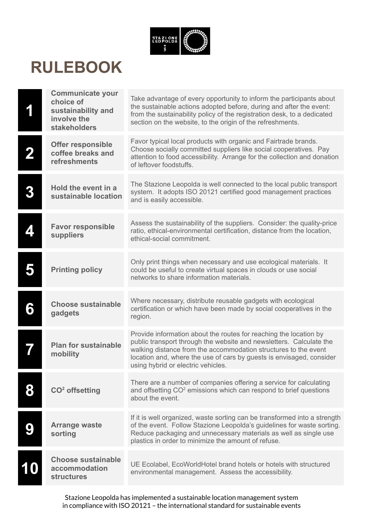

## **RULEBOOK**

|   | <b>Communicate your</b><br>choice of<br>sustainability and<br>involve the<br><b>stakeholders</b> | Take advantage of every opportunity to inform the participants about<br>the sustainable actions adopted before, during and after the event:<br>from the sustainability policy of the registration desk, to a dedicated<br>section on the website, to the origin of the refreshments.                                      |
|---|--------------------------------------------------------------------------------------------------|---------------------------------------------------------------------------------------------------------------------------------------------------------------------------------------------------------------------------------------------------------------------------------------------------------------------------|
|   | <b>Offer responsible</b><br>coffee breaks and<br>refreshments                                    | Favor typical local products with organic and Fairtrade brands.<br>Choose socially committed suppliers like social cooperatives. Pay<br>attention to food accessibility. Arrange for the collection and donation<br>of leftover foodstuffs.                                                                               |
| 3 | Hold the event in a<br>sustainable location                                                      | The Stazione Leopolda is well connected to the local public transport<br>system. It adopts ISO 20121 certified good management practices<br>and is easily accessible.                                                                                                                                                     |
|   | <b>Favor responsible</b><br>suppliers                                                            | Assess the sustainability of the suppliers. Consider: the quality-price<br>ratio, ethical-environmental certification, distance from the location,<br>ethical-social commitment.                                                                                                                                          |
|   | <b>Printing policy</b>                                                                           | Only print things when necessary and use ecological materials. It<br>could be useful to create virtual spaces in clouds or use social<br>networks to share information materials.                                                                                                                                         |
| 6 | <b>Choose sustainable</b><br>gadgets                                                             | Where necessary, distribute reusable gadgets with ecological<br>certification or which have been made by social cooperatives in the<br>region.                                                                                                                                                                            |
|   | <b>Plan for sustainable</b><br>mobility                                                          | Provide information about the routes for reaching the location by<br>public transport through the website and newsletters. Calculate the<br>walking distance from the accommodation structures to the event<br>location and, where the use of cars by guests is envisaged, consider<br>using hybrid or electric vehicles. |
|   | $CO2$ offsetting                                                                                 | There are a number of companies offering a service for calculating<br>and offsetting CO <sup>2</sup> emissions which can respond to brief questions<br>about the event.                                                                                                                                                   |
|   | <b>Arrange waste</b><br>sorting                                                                  | If it is well organized, waste sorting can be transformed into a strength<br>of the event. Follow Stazione Leopolda's guidelines for waste sorting.<br>Reduce packaging and unnecessary materials as well as single use<br>plastics in order to minimize the amount of refuse.                                            |
|   | <b>Choose sustainable</b><br>accommodation<br><b>structures</b>                                  | UE Ecolabel, EcoWorldHotel brand hotels or hotels with structured<br>environmental management. Assess the accessibility.                                                                                                                                                                                                  |

Stazione Leopolda has implemented a sustainable location management system in compliance with ISO 20121 – the international standard for sustainable events